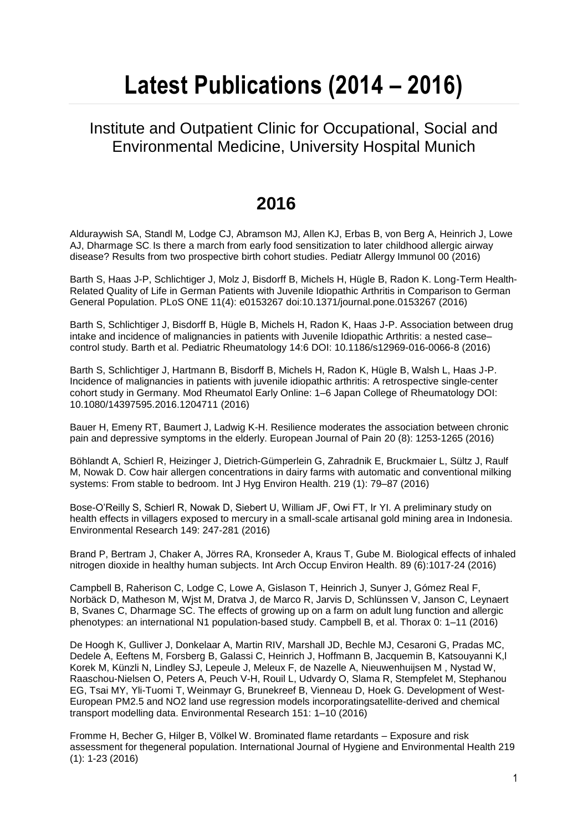# **Latest Publications (2014 – 2016)**

#### Institute and Outpatient Clinic for Occupational, Social and Environmental Medicine, University Hospital Munich

## **2016**

Alduraywish SA, Standl M, Lodge CJ, Abramson MJ, Allen KJ, Erbas B, von Berg A, Heinrich J, Lowe AJ, Dharmage SC. Is there a march from early food sensitization to later childhood allergic airway disease? Results from two prospective birth cohort studies. Pediatr Allergy Immunol 00 (2016)

Barth S, Haas J-P, Schlichtiger J, Molz J, Bisdorff B, Michels H, Hügle B, Radon K. Long-Term Health-Related Quality of Life in German Patients with Juvenile Idiopathic Arthritis in Comparison to German General Population. PLoS ONE 11(4): e0153267 doi:10.1371/journal.pone.0153267 (2016)

Barth S, Schlichtiger J, Bisdorff B, Hügle B, Michels H, Radon K, Haas J-P. Association between drug intake and incidence of malignancies in patients with Juvenile Idiopathic Arthritis: a nested case– control study. Barth et al. Pediatric Rheumatology 14:6 DOI: 10.1186/s12969-016-0066-8 (2016)

Barth S, Schlichtiger J, Hartmann B, Bisdorff B, Michels H, Radon K, Hügle B, Walsh L, Haas J-P. Incidence of malignancies in patients with juvenile idiopathic arthritis: A retrospective single-center cohort study in Germany. Mod Rheumatol Early Online: 1–6 Japan College of Rheumatology DOI: 10.1080/14397595.2016.1204711 (2016)

Bauer H, Emeny RT, Baumert J, Ladwig K-H. Resilience moderates the association between chronic pain and depressive symptoms in the elderly. European Journal of Pain 20 (8): 1253-1265 (2016)

[Böhlandt A,](http://www.ncbi.nlm.nih.gov/pubmed/?term=B%C3%B6hlandt%20A%5BAuthor%5D&cauthor=true&cauthor_uid=26424445) [Schierl R,](http://www.ncbi.nlm.nih.gov/pubmed/?term=Schierl%20R%5BAuthor%5D&cauthor=true&cauthor_uid=26424445) [Heizinger J,](http://www.ncbi.nlm.nih.gov/pubmed/?term=Heizinger%20J%5BAuthor%5D&cauthor=true&cauthor_uid=26424445) [Dietrich-Gümperlein G,](http://www.ncbi.nlm.nih.gov/pubmed/?term=Dietrich-G%C3%BCmperlein%20G%5BAuthor%5D&cauthor=true&cauthor_uid=26424445) [Zahradnik E,](http://www.ncbi.nlm.nih.gov/pubmed/?term=Zahradnik%20E%5BAuthor%5D&cauthor=true&cauthor_uid=26424445) [Bruckmaier L,](http://www.ncbi.nlm.nih.gov/pubmed/?term=Bruckmaier%20L%5BAuthor%5D&cauthor=true&cauthor_uid=26424445) [Sültz J,](http://www.ncbi.nlm.nih.gov/pubmed/?term=S%C3%BCltz%20J%5BAuthor%5D&cauthor=true&cauthor_uid=26424445) [Raulf](http://www.ncbi.nlm.nih.gov/pubmed/?term=Raulf%20M%5BAuthor%5D&cauthor=true&cauthor_uid=26424445)  [M,](http://www.ncbi.nlm.nih.gov/pubmed/?term=Raulf%20M%5BAuthor%5D&cauthor=true&cauthor_uid=26424445) [Nowak D.](http://www.ncbi.nlm.nih.gov/pubmed/?term=Nowak%20D%5BAuthor%5D&cauthor=true&cauthor_uid=26424445) Cow hair allergen concentrations in dairy farms with automatic and conventional milking systems: From stable to bedroom. [Int J Hyg Environ Health.](http://www.ncbi.nlm.nih.gov/pubmed/26424445) 219 (1): 79–87 (2016)

Bose-O'Reilly S, Schierl R, Nowak D, Siebert U, William JF, Owi FT, Ir YI. A preliminary study on health effects in villagers exposed to mercury in a small-scale artisanal gold mining area in Indonesia. Environmental Research 149: 247-281 (2016)

[Brand P,](http://www.ncbi.nlm.nih.gov/pubmed/?term=Brand%20P%5BAuthor%5D&cauthor=true&cauthor_uid=27155612) [Bertram J,](http://www.ncbi.nlm.nih.gov/pubmed/?term=Bertram%20J%5BAuthor%5D&cauthor=true&cauthor_uid=27155612) [Chaker A,](http://www.ncbi.nlm.nih.gov/pubmed/?term=Chaker%20A%5BAuthor%5D&cauthor=true&cauthor_uid=27155612) [Jörres RA,](http://www.ncbi.nlm.nih.gov/pubmed/?term=J%C3%B6rres%20RA%5BAuthor%5D&cauthor=true&cauthor_uid=27155612) [Kronseder A,](http://www.ncbi.nlm.nih.gov/pubmed/?term=Kronseder%20A%5BAuthor%5D&cauthor=true&cauthor_uid=27155612) [Kraus T,](http://www.ncbi.nlm.nih.gov/pubmed/?term=Kraus%20T%5BAuthor%5D&cauthor=true&cauthor_uid=27155612) [Gube M.](http://www.ncbi.nlm.nih.gov/pubmed/?term=Gube%20M%5BAuthor%5D&cauthor=true&cauthor_uid=27155612) Biological effects of inhaled nitrogen dioxide in healthy human subjects. [Int Arch Occup Environ Health.](http://www.ncbi.nlm.nih.gov/pubmed/27155612) 89 (6):1017-24 (2016)

Campbell B, Raherison C, Lodge C, Lowe A, Gislason T, Heinrich J, Sunyer J, Gómez Real F, Norbäck D, Matheson M, Wjst M, Dratva J, de Marco R, Jarvis D, Schlünssen V, Janson C, Leynaert B, Svanes C, Dharmage SC. The effects of growing up on a farm on adult lung function and allergic phenotypes: an international N1 population-based study. Campbell B, et al. Thorax 0: 1–11 (2016)

De Hoogh K, Gulliver J, Donkelaar A, Martin RIV, Marshall JD, Bechle MJ, Cesaroni G, Pradas MC, Dedele A, Eeftens M, Forsberg B, Galassi C, Heinrich J, Hoffmann B, Jacquemin B, Katsouyanni K,l Korek M, Künzli N, Lindley SJ, Lepeule J, Meleux F, de Nazelle A, Nieuwenhuijsen M , Nystad W, Raaschou-Nielsen O, Peters A, Peuch V-H, Rouil L, Udvardy O, Slama R, Stempfelet M, Stephanou EG, Tsai MY, Yli-Tuomi T, Weinmayr G, Brunekreef B, Vienneau D, Hoek G. Development of West-European PM2.5 and NO2 land use regression models incorporatingsatellite-derived and chemical transport modelling data. Environmental Research 151: 1–10 (2016)

Fromme H, Becher G, Hilger B, Völkel W. Brominated flame retardants – Exposure and risk assessment for thegeneral population. International Journal of Hygiene and Environmental Health 219 (1): 1-23 (2016)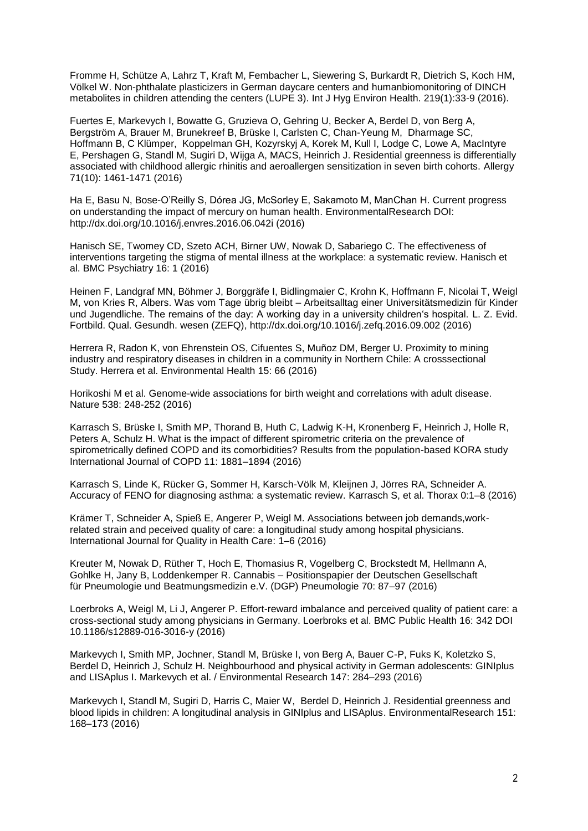Fromme H, Schütze A, Lahrz T, Kraft M, Fembacher L, Siewering S, Burkardt R, Dietrich S, Koch HM, Völkel W. Non-phthalate plasticizers in German daycare centers and humanbiomonitoring of DINCH metabolites in children attending the centers (LUPE 3). [Int J Hyg Environ Health.](http://www.ncbi.nlm.nih.gov/pubmed/?term=Non-phthalate+plasticizers+in+German+daycare+centers+and+humanbiomonitoring+of+DINCH+metabolites+in+children+attending+the+centers(LUPE+3)) 219(1):33-9 (2016).

Fuertes E, Markevych I, Bowatte G, Gruzieva O, Gehring U, Becker A, Berdel D, von Berg A, Bergström A, Brauer M, Brunekreef B, Brüske I, Carlsten C, Chan-Yeung M, Dharmage SC, Hoffmann B, C Klümper, Koppelman GH, Kozyrskyj A, Korek M, Kull I, Lodge C, Lowe A, MacIntyre E, Pershagen G, Standl M, Sugiri D, Wijga A, MACS, Heinrich J. Residential greenness is differentially associated with childhood allergic rhinitis and aeroallergen sensitization in seven birth cohorts. Allergy 71(10): 1461-1471 (2016)

Ha E, Basu N, Bose-O'Reilly S, Dórea JG, McSorley E, Sakamoto M, ManChan H. Current progress on understanding the impact of mercury on human health. EnvironmentalResearch DOI: http://dx.doi.org/10.1016/j.envres.2016.06.042i (2016)

Hanisch SE, Twomey CD, Szeto ACH, Birner UW, Nowak D, Sabariego C. The effectiveness of interventions targeting the stigma of mental illness at the workplace: a systematic review. Hanisch et al. BMC Psychiatry 16: 1 (2016)

Heinen F, Landgraf MN, Böhmer J, Borggräfe I, Bidlingmaier C, Krohn K, Hoffmann F, Nicolai T, Weigl M, von Kries R, Albers. Was vom Tage übrig bleibt – Arbeitsalltag einer Universitätsmedizin für Kinder und Jugendliche. The remains of the day: A working day in a university children's hospital. L. Z. Evid. Fortbild. Qual. Gesundh. wesen (ZEFQ), http://dx.doi.org/10.1016/j.zefq.2016.09.002 (2016)

Herrera R, Radon K, von Ehrenstein OS, Cifuentes S, Muñoz DM, Berger U. Proximity to mining industry and respiratory diseases in children in a community in Northern Chile: A crosssectional Study. Herrera et al. Environmental Health 15: 66 (2016)

Horikoshi M et al. Genome-wide associations for birth weight and correlations with adult disease. Nature 538: 248-252 (2016)

Karrasch S, Brüske I, Smith MP, Thorand B, Huth C, Ladwig K-H, Kronenberg F, Heinrich J, Holle R, Peters A, Schulz H. What is the impact of different spirometric criteria on the prevalence of spirometrically defined COPD and its comorbidities? Results from the population-based KORA study International Journal of COPD 11: 1881–1894 (2016)

Karrasch S, Linde K, Rücker G, Sommer H, Karsch-Völk M, Kleijnen J, Jörres RA, Schneider A. Accuracy of FENO for diagnosing asthma: a systematic review. Karrasch S, et al. Thorax 0:1–8 (2016)

Krämer T, Schneider A, Spieß E, Angerer P, Weigl M. Associations between job demands,workrelated strain and peceived quality of care: a longitudinal study among hospital physicians. International Journal for Quality in Health Care: 1–6 (2016)

Kreuter M, Nowak D, Rüther T, Hoch E, Thomasius R, Vogelberg C, Brockstedt M, Hellmann A, Gohlke H, Jany B, Loddenkemper R. Cannabis – Positionspapier der Deutschen Gesellschaft für Pneumologie und Beatmungsmedizin e.V. (DGP) Pneumologie 70: 87–97 (2016)

Loerbroks A, Weigl M, Li J, Angerer P. Effort-reward imbalance and perceived quality of patient care: a cross-sectional study among physicians in Germany. Loerbroks et al. BMC Public Health 16: 342 DOI 10.1186/s12889-016-3016-y (2016)

Markevych I, Smith MP, Jochner, Standl M, Brüske I, von Berg A, Bauer C-P, Fuks K, Koletzko S, Berdel D, Heinrich J, Schulz H. Neighbourhood and physical activity in German adolescents: GINIplus and LISAplus I. Markevych et al. / Environmental Research 147: 284–293 (2016)

Markevych I, Standl M, Sugiri D, Harris C, Maier W, Berdel D, Heinrich J. Residential greenness and blood lipids in children: A longitudinal analysis in GINIplus and LISAplus. EnvironmentalResearch 151: 168–173 (2016)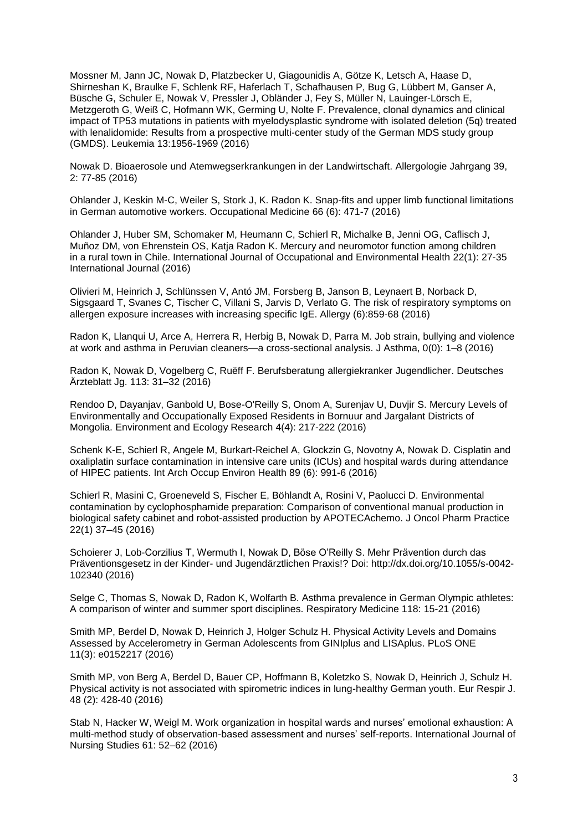[Mossner M,](http://www.ncbi.nlm.nih.gov/pubmed/?term=Mossner%20M%5BAuthor%5D&cauthor=true&cauthor_uid=27133825) [Jann JC,](http://www.ncbi.nlm.nih.gov/pubmed/?term=Jann%20JC%5BAuthor%5D&cauthor=true&cauthor_uid=27133825) [Nowak D,](http://www.ncbi.nlm.nih.gov/pubmed/?term=Nowak%20D%5BAuthor%5D&cauthor=true&cauthor_uid=27133825) [Platzbecker U,](http://www.ncbi.nlm.nih.gov/pubmed/?term=Platzbecker%20U%5BAuthor%5D&cauthor=true&cauthor_uid=27133825) [Giagounidis A,](http://www.ncbi.nlm.nih.gov/pubmed/?term=Giagounidis%20A%5BAuthor%5D&cauthor=true&cauthor_uid=27133825) [Götze K,](http://www.ncbi.nlm.nih.gov/pubmed/?term=G%C3%B6tze%20K%5BAuthor%5D&cauthor=true&cauthor_uid=27133825) [Letsch A,](http://www.ncbi.nlm.nih.gov/pubmed/?term=Letsch%20A%5BAuthor%5D&cauthor=true&cauthor_uid=27133825) [Haase D,](http://www.ncbi.nlm.nih.gov/pubmed/?term=Haase%20D%5BAuthor%5D&cauthor=true&cauthor_uid=27133825) [Shirneshan K,](http://www.ncbi.nlm.nih.gov/pubmed/?term=Shirneshan%20K%5BAuthor%5D&cauthor=true&cauthor_uid=27133825) [Braulke F,](http://www.ncbi.nlm.nih.gov/pubmed/?term=Braulke%20F%5BAuthor%5D&cauthor=true&cauthor_uid=27133825) [Schlenk RF,](http://www.ncbi.nlm.nih.gov/pubmed/?term=Schlenk%20RF%5BAuthor%5D&cauthor=true&cauthor_uid=27133825) [Haferlach T,](http://www.ncbi.nlm.nih.gov/pubmed/?term=Haferlach%20T%5BAuthor%5D&cauthor=true&cauthor_uid=27133825) [Schafhausen P,](http://www.ncbi.nlm.nih.gov/pubmed/?term=Schafhausen%20P%5BAuthor%5D&cauthor=true&cauthor_uid=27133825) [Bug G,](http://www.ncbi.nlm.nih.gov/pubmed/?term=Bug%20G%5BAuthor%5D&cauthor=true&cauthor_uid=27133825) [Lübbert M,](http://www.ncbi.nlm.nih.gov/pubmed/?term=L%C3%BCbbert%20M%5BAuthor%5D&cauthor=true&cauthor_uid=27133825) [Ganser A,](http://www.ncbi.nlm.nih.gov/pubmed/?term=Ganser%20A%5BAuthor%5D&cauthor=true&cauthor_uid=27133825) [Büsche G,](http://www.ncbi.nlm.nih.gov/pubmed/?term=B%C3%BCsche%20G%5BAuthor%5D&cauthor=true&cauthor_uid=27133825) [Schuler E,](http://www.ncbi.nlm.nih.gov/pubmed/?term=Schuler%20E%5BAuthor%5D&cauthor=true&cauthor_uid=27133825) [Nowak V,](http://www.ncbi.nlm.nih.gov/pubmed/?term=Nowak%20V%5BAuthor%5D&cauthor=true&cauthor_uid=27133825) [Pressler J,](http://www.ncbi.nlm.nih.gov/pubmed/?term=Pressler%20J%5BAuthor%5D&cauthor=true&cauthor_uid=27133825) [Obländer J,](http://www.ncbi.nlm.nih.gov/pubmed/?term=Obl%C3%A4nder%20J%5BAuthor%5D&cauthor=true&cauthor_uid=27133825) [Fey S,](http://www.ncbi.nlm.nih.gov/pubmed/?term=Fey%20S%5BAuthor%5D&cauthor=true&cauthor_uid=27133825) [Müller N,](http://www.ncbi.nlm.nih.gov/pubmed/?term=M%C3%BCller%20N%5BAuthor%5D&cauthor=true&cauthor_uid=27133825) [Lauinger-Lörsch E,](http://www.ncbi.nlm.nih.gov/pubmed/?term=Lauinger-L%C3%B6rsch%20E%5BAuthor%5D&cauthor=true&cauthor_uid=27133825) [Metzgeroth G,](http://www.ncbi.nlm.nih.gov/pubmed/?term=Metzgeroth%20G%5BAuthor%5D&cauthor=true&cauthor_uid=27133825) [Weiß C,](http://www.ncbi.nlm.nih.gov/pubmed/?term=Wei%C3%9F%20C%5BAuthor%5D&cauthor=true&cauthor_uid=27133825) [Hofmann WK,](http://www.ncbi.nlm.nih.gov/pubmed/?term=Hofmann%20WK%5BAuthor%5D&cauthor=true&cauthor_uid=27133825) [Germing U,](http://www.ncbi.nlm.nih.gov/pubmed/?term=Germing%20U%5BAuthor%5D&cauthor=true&cauthor_uid=27133825) [Nolte F.](http://www.ncbi.nlm.nih.gov/pubmed/?term=Nolte%20F%5BAuthor%5D&cauthor=true&cauthor_uid=27133825) Prevalence, clonal dynamics and clinical impact of TP53 mutations in patients with myelodysplastic syndrome with isolated deletion (5q) treated with lenalidomide: Results from a prospective multi-center study of the German MDS study group (GMDS). Leukemia 13:1956-1969 (2016)

Nowak D. Bioaerosole und Atemwegserkrankungen in der Landwirtschaft. Allergologie Jahrgang 39, 2: 77-85 (2016)

Ohlander J, Keskin M-C, Weiler S, Stork J, K. Radon K. Snap-fits and upper limb functional limitations in German automotive workers. Occupational Medicine 66 (6): 471-7 (2016)

Ohlander J, Huber SM, Schomaker M, Heumann C, Schierl R, Michalke B, Jenni OG, Caflisch J, Muñoz DM, von Ehrenstein OS, Katja Radon K. Mercury and neuromotor function among children in a rural town in Chile. International Journal of Occupational and Environmental Health 22(1): 27-35 International Journal (2016)

Olivieri M, Heinrich J, Schlünssen V, Antó JM, Forsberg B, Janson B, Leynaert B, Norback D, Sigsgaard T, Svanes C, Tischer C, Villani S, Jarvis D, Verlato G. The risk of respiratory symptoms on allergen exposure increases with increasing specific IgE. Allergy (6):859-68 (2016)

Radon K, Llanqui U, Arce A, Herrera R, Herbig B, Nowak D, Parra M. Job strain, bullying and violence at work and asthma in Peruvian cleaners—a cross-sectional analysis. J Asthma, 0(0): 1–8 (2016)

Radon K, Nowak D, Vogelberg C, Ruëff F. Berufsberatung allergiekranker Jugendlicher. Deutsches Ärzteblatt Jg. 113: 31–32 (2016)

Rendoo D, Dayanjav, Ganbold U, Bose-O'Reilly S, Onom A, Surenjav U, Duvjir S. Mercury Levels of Environmentally and Occupationally Exposed Residents in Bornuur and Jargalant Districts of Mongolia. Environment and Ecology Research 4(4): 217-222 (2016)

Schenk K-E, Schierl R, Angele M, Burkart-Reichel A, Glockzin G, Novotny A, Nowak D. Cisplatin and oxaliplatin surface contamination in intensive care units (ICUs) and hospital wards during attendance of HIPEC patients. Int Arch Occup Environ Health 89 (6): 991-6 (2016)

Schierl R, Masini C, Groeneveld S, Fischer E, Böhlandt A, Rosini V, Paolucci D. Environmental contamination by cyclophosphamide preparation: Comparison of conventional manual production in biological safety cabinet and robot-assisted production by APOTECAchemo. J Oncol Pharm Practice 22(1) 37–45 (2016)

Schoierer J, Lob-Corzilius T, Wermuth I, Nowak D, Böse O'Reilly S. Mehr Prävention durch das Präventionsgesetz in der Kinder- und Jugendärztlichen Praxis!? Doi: http://dx.doi.org/10.1055/s-0042- 102340 (2016)

Selge C, Thomas S, Nowak D, Radon K, Wolfarth B. Asthma prevalence in German Olympic athletes: A comparison of winter and summer sport disciplines. Respiratory Medicine 118: 15-21 (2016)

Smith MP, Berdel D, Nowak D, Heinrich J, Holger Schulz H. Physical Activity Levels and Domains Assessed by Accelerometry in German Adolescents from GINIplus and LISAplus. PLoS ONE 11(3): e0152217 (2016)

[Smith MP,](http://www.ncbi.nlm.nih.gov/pubmed/?term=Smith%20MP%5BAuthor%5D&cauthor=true&cauthor_uid=27009173) [von Berg A,](http://www.ncbi.nlm.nih.gov/pubmed/?term=von%20Berg%20A%5BAuthor%5D&cauthor=true&cauthor_uid=27009173) [Berdel D,](http://www.ncbi.nlm.nih.gov/pubmed/?term=Berdel%20D%5BAuthor%5D&cauthor=true&cauthor_uid=27009173) [Bauer CP,](http://www.ncbi.nlm.nih.gov/pubmed/?term=Bauer%20CP%5BAuthor%5D&cauthor=true&cauthor_uid=27009173) [Hoffmann B,](http://www.ncbi.nlm.nih.gov/pubmed/?term=Hoffmann%20B%5BAuthor%5D&cauthor=true&cauthor_uid=27009173) [Koletzko S,](http://www.ncbi.nlm.nih.gov/pubmed/?term=Koletzko%20S%5BAuthor%5D&cauthor=true&cauthor_uid=27009173) [Nowak D,](http://www.ncbi.nlm.nih.gov/pubmed/?term=Nowak%20D%5BAuthor%5D&cauthor=true&cauthor_uid=27009173) [Heinrich J,](http://www.ncbi.nlm.nih.gov/pubmed/?term=Heinrich%20J%5BAuthor%5D&cauthor=true&cauthor_uid=27009173) [Schulz H.](http://www.ncbi.nlm.nih.gov/pubmed/?term=Schulz%20H%5BAuthor%5D&cauthor=true&cauthor_uid=27009173) Physical activity is not associated with spirometric indices in lung-healthy German youth. [Eur Respir J.](http://www.ncbi.nlm.nih.gov/pubmed/27009173) 48 (2): 428-40 (2016)

Stab N, Hacker W, Weigl M. Work organization in hospital wards and nurses' emotional exhaustion: A multi-method study of observation-based assessment and nurses' self-reports. International Journal of Nursing Studies 61: 52–62 (2016)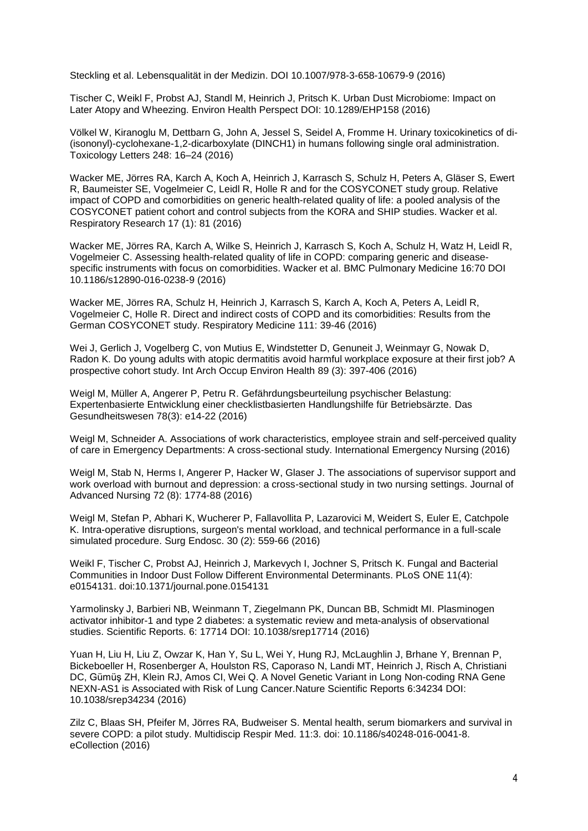Steckling et al. Lebensqualität in der Medizin. DOI 10.1007/978-3-658-10679-9 (2016)

Tischer C, Weikl F, Probst AJ, Standl M, Heinrich J, Pritsch K. Urban Dust Microbiome: Impact on Later Atopy and Wheezing. Environ Health Perspect DOI: 10.1289/EHP158 (2016)

Völkel W, Kiranoglu M, Dettbarn G, John A, Jessel S, Seidel A, Fromme H. Urinary toxicokinetics of di- (isononyl)-cyclohexane-1,2-dicarboxylate (DINCH1) in humans following single oral administration. Toxicology Letters 248: 16–24 (2016)

Wacker ME, Jörres RA, Karch A, Koch A, Heinrich J, Karrasch S, Schulz H, Peters A, Gläser S, Ewert R, Baumeister SE, Vogelmeier C, Leidl R, Holle R and for the COSYCONET study group. Relative impact of COPD and comorbidities on generic health-related quality of life: a pooled analysis of the COSYCONET patient cohort and control subjects from the KORA and SHIP studies. Wacker et al. Respiratory Research 17 (1): 81 (2016)

Wacker ME, Jörres RA, Karch A, Wilke S, Heinrich J, Karrasch S, Koch A, Schulz H, Watz H, Leidl R, Vogelmeier C. Assessing health-related quality of life in COPD: comparing generic and diseasespecific instruments with focus on comorbidities. Wacker et al. BMC Pulmonary Medicine 16:70 DOI 10.1186/s12890-016-0238-9 (2016)

Wacker ME, Jörres RA, Schulz H, Heinrich J, Karrasch S, Karch A, Koch A, Peters A, Leidl R, Vogelmeier C, Holle R. Direct and indirect costs of COPD and its comorbidities: Results from the German COSYCONET study. Respiratory Medicine 111: 39-46 (2016)

Wei J, Gerlich J, Vogelberg C, von Mutius E, Windstetter D, Genuneit J, Weinmayr G, Nowak D, Radon K. Do young adults with atopic dermatitis avoid harmful workplace exposure at their first job? A prospective cohort study. Int Arch Occup Environ Health 89 (3): 397-406 (2016)

Weigl M, Müller A, Angerer P, Petru R. Gefährdungsbeurteilung psychischer Belastung: Expertenbasierte Entwicklung einer checklistbasierten Handlungshilfe für Betriebsärzte. Das Gesundheitswesen 78(3): e14-22 (2016)

Weigl M, Schneider A. Associations of work characteristics, employee strain and self-perceived quality of care in Emergency Departments: A cross-sectional study. International Emergency Nursing (2016)

Weigl M, Stab N, Herms I, Angerer P, Hacker W, Glaser J. The associations of supervisor support and work overload with burnout and depression: a cross-sectional study in two nursing settings. Journal of Advanced Nursing 72 (8): 1774-88 (2016)

[Weigl M,](http://www.ncbi.nlm.nih.gov/pubmed/?term=Weigl%20M%5BAuthor%5D&cauthor=true&cauthor_uid=26091986) [Stefan P,](http://www.ncbi.nlm.nih.gov/pubmed/?term=Stefan%20P%5BAuthor%5D&cauthor=true&cauthor_uid=26091986) [Abhari K,](http://www.ncbi.nlm.nih.gov/pubmed/?term=Abhari%20K%5BAuthor%5D&cauthor=true&cauthor_uid=26091986) [Wucherer P,](http://www.ncbi.nlm.nih.gov/pubmed/?term=Wucherer%20P%5BAuthor%5D&cauthor=true&cauthor_uid=26091986) [Fallavollita P,](http://www.ncbi.nlm.nih.gov/pubmed/?term=Fallavollita%20P%5BAuthor%5D&cauthor=true&cauthor_uid=26091986) [Lazarovici M,](http://www.ncbi.nlm.nih.gov/pubmed/?term=Lazarovici%20M%5BAuthor%5D&cauthor=true&cauthor_uid=26091986) [Weidert S,](http://www.ncbi.nlm.nih.gov/pubmed/?term=Weidert%20S%5BAuthor%5D&cauthor=true&cauthor_uid=26091986) [Euler E,](http://www.ncbi.nlm.nih.gov/pubmed/?term=Euler%20E%5BAuthor%5D&cauthor=true&cauthor_uid=26091986) [Catchpole](http://www.ncbi.nlm.nih.gov/pubmed/?term=Catchpole%20K%5BAuthor%5D&cauthor=true&cauthor_uid=26091986)  [K.](http://www.ncbi.nlm.nih.gov/pubmed/?term=Catchpole%20K%5BAuthor%5D&cauthor=true&cauthor_uid=26091986) Intra-operative disruptions, surgeon's mental workload, and technical performance in a full-scale simulated procedure. [Surg Endosc.](http://www.ncbi.nlm.nih.gov/pubmed/?term=intra-operative+disruptions%2C+surgeon) 30 (2): 559-66 (2016)

Weikl F, Tischer C, Probst AJ, Heinrich J, Markevych I, Jochner S, Pritsch K. Fungal and Bacterial Communities in Indoor Dust Follow Different Environmental Determinants. PLoS ONE 11(4): e0154131. doi:10.1371/journal.pone.0154131

Yarmolinsky J, Barbieri NB, Weinmann T, Ziegelmann PK, Duncan BB, Schmidt MI. Plasminogen activator inhibitor-1 and type 2 diabetes: a systematic review and meta-analysis of observational studies. Scientific Reports. 6: 17714 DOI: 10.1038/srep17714 (2016)

Yuan H, Liu H, Liu Z, Owzar K, Han Y, Su L, Wei Y, Hung RJ, McLaughlin J, Brhane Y, Brennan P, Bickeboeller H, Rosenberger A, Houlston RS, Caporaso N, Landi MT, Heinrich J, Risch A, Christiani DC, Gümüş ZH, Klein RJ, Amos CI, Wei Q. A Novel Genetic Variant in Long Non-coding RNA Gene NEXN-AS1 is Associated with Risk of Lung Cancer.Nature Scientific Reports 6:34234 DOI: 10.1038/srep34234 (2016)

Zilz C, Blaas SH, Pfeifer M, Jörres RA, Budweiser S. Mental health, serum biomarkers and survival in severe COPD: a pilot study. [Multidiscip Respir Med.](http://www.ncbi.nlm.nih.gov/pubmed/26788321) 11:3. doi: 10.1186/s40248-016-0041-8. eCollection (2016)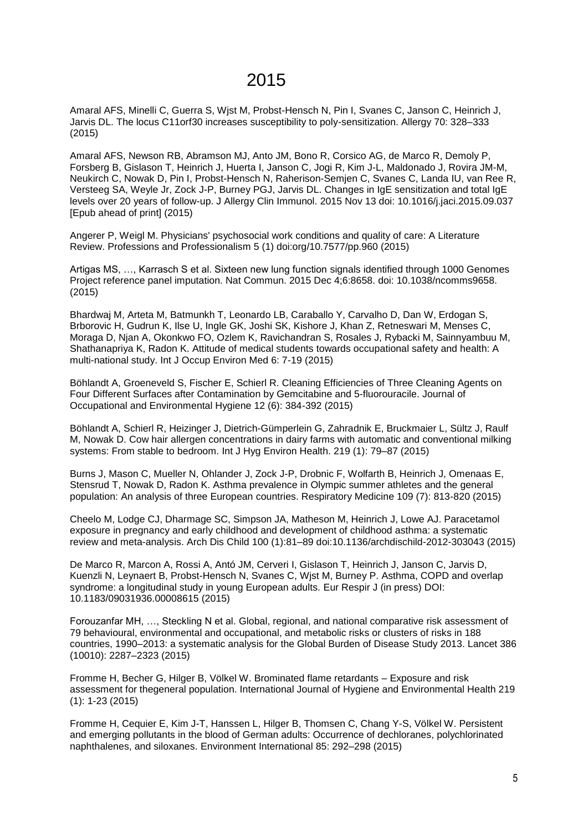### 2015

Amaral AFS, Minelli C, Guerra S, Wjst M, Probst-Hensch N, Pin I, Svanes C, Janson C, Heinrich J, Jarvis DL. The locus C11orf30 increases susceptibility to poly-sensitization. Allergy 70: 328–333 (2015)

Amaral AFS, Newson RB, Abramson MJ, Anto JM, Bono R, Corsico AG, de Marco R, Demoly P, Forsberg B, Gislason T, Heinrich J, Huerta I, Janson C, Jogi R, Kim J-L, Maldonado J, Rovira JM-M, Neukirch C, Nowak D, Pin I, Probst-Hensch N, Raherison-Semjen C, Svanes C, Landa IU, van Ree R, Versteeg SA, Weyle Jr, Zock J-P, Burney PGJ, Jarvis DL. Changes in IgE sensitization and total IgE levels over 20 years of follow-up. [J Allergy Clin Immunol.](http://www.ncbi.nlm.nih.gov/pubmed/26586040) 2015 Nov 13 doi: 10.1016/j.jaci.2015.09.037 [Epub ahead of print] (2015)

Angerer P, Weigl M. Physicians' psychosocial work conditions and quality of care: A Literature Review. Professions and Professionalism 5 (1) doi:org/10.7577/pp.960 (2015)

Artigas MS, …, Karrasch S et al. Sixteen new lung function signals identified through 1000 Genomes Project reference panel imputation. Nat Commun. 2015 Dec 4;6:8658. doi: 10.1038/ncomms9658. (2015)

Bhardwaj M, Arteta M, Batmunkh T, Leonardo LB, Caraballo Y, Carvalho D, Dan W, Erdogan S, Brborovic H, Gudrun K, Ilse U, Ingle GK, Joshi SK, Kishore J, Khan Z, Retneswari M, Menses C, Moraga D, Njan A, Okonkwo FO, Ozlem K, Ravichandran S, Rosales J, Rybacki M, Sainnyambuu M, Shathanapriya K, Radon K. Attitude of medical students towards occupational safety and health: A multi-national study. Int J Occup Environ Med 6: 7-19 (2015)

Böhlandt A, Groeneveld S, Fischer E, Schierl R. Cleaning Efficiencies of Three Cleaning Agents on Four Different Surfaces after Contamination by Gemcitabine and 5-fluorouracile. Journal of Occupational and Environmental Hygiene 12 (6): 384-392 (2015)

[Böhlandt A,](http://www.ncbi.nlm.nih.gov/pubmed/?term=B%C3%B6hlandt%20A%5BAuthor%5D&cauthor=true&cauthor_uid=26424445) [Schierl R,](http://www.ncbi.nlm.nih.gov/pubmed/?term=Schierl%20R%5BAuthor%5D&cauthor=true&cauthor_uid=26424445) [Heizinger J,](http://www.ncbi.nlm.nih.gov/pubmed/?term=Heizinger%20J%5BAuthor%5D&cauthor=true&cauthor_uid=26424445) [Dietrich-Gümperlein G,](http://www.ncbi.nlm.nih.gov/pubmed/?term=Dietrich-G%C3%BCmperlein%20G%5BAuthor%5D&cauthor=true&cauthor_uid=26424445) [Zahradnik E,](http://www.ncbi.nlm.nih.gov/pubmed/?term=Zahradnik%20E%5BAuthor%5D&cauthor=true&cauthor_uid=26424445) [Bruckmaier L,](http://www.ncbi.nlm.nih.gov/pubmed/?term=Bruckmaier%20L%5BAuthor%5D&cauthor=true&cauthor_uid=26424445) [Sültz J,](http://www.ncbi.nlm.nih.gov/pubmed/?term=S%C3%BCltz%20J%5BAuthor%5D&cauthor=true&cauthor_uid=26424445) [Raulf](http://www.ncbi.nlm.nih.gov/pubmed/?term=Raulf%20M%5BAuthor%5D&cauthor=true&cauthor_uid=26424445)  [M,](http://www.ncbi.nlm.nih.gov/pubmed/?term=Raulf%20M%5BAuthor%5D&cauthor=true&cauthor_uid=26424445) [Nowak D.](http://www.ncbi.nlm.nih.gov/pubmed/?term=Nowak%20D%5BAuthor%5D&cauthor=true&cauthor_uid=26424445) Cow hair allergen concentrations in dairy farms with automatic and conventional milking systems: From stable to bedroom. [Int J Hyg Environ Health.](http://www.ncbi.nlm.nih.gov/pubmed/26424445) 219 (1): 79–87 (2015)

Burns J, Mason C, Mueller N, Ohlander J, Zock J-P, Drobnic F, Wolfarth B, Heinrich J, Omenaas E, Stensrud T, Nowak D, Radon K. Asthma prevalence in Olympic summer athletes and the general population: An analysis of three European countries. Respiratory Medicine 109 (7): 813-820 (2015)

Cheelo M, Lodge CJ, Dharmage SC, Simpson JA, Matheson M, Heinrich J, Lowe AJ. Paracetamol exposure in pregnancy and early childhood and development of childhood asthma: a systematic review and meta-analysis. Arch Dis Child 100 (1):81–89 doi:10.1136/archdischild-2012-303043 (2015)

De Marco R, Marcon A, Rossi A, Antó JM, Cerveri I, Gislason T, Heinrich J, Janson C, Jarvis D, Kuenzli N, Leynaert B, Probst-Hensch N, Svanes C, Wjst M, Burney P. Asthma, COPD and overlap syndrome: a longitudinal study in young European adults. Eur Respir J (in press) DOI: 10.1183/09031936.00008615 (2015)

Forouzanfar MH, …, Steckling N et al. Global, regional, and national comparative risk assessment of 79 behavioural, environmental and occupational, and metabolic risks or clusters of risks in 188 countries, 1990–2013: a systematic analysis for the Global Burden of Disease Study 2013. Lancet 386 (10010): 2287–2323 (2015)

Fromme H, Becher G, Hilger B, Völkel W. Brominated flame retardants – Exposure and risk assessment for thegeneral population. International Journal of Hygiene and Environmental Health 219 (1): 1-23 (2015)

Fromme H, Cequier E, Kim J-T, Hanssen L, Hilger B, Thomsen C, Chang Y-S, Völkel W. Persistent and emerging pollutants in the blood of German adults: Occurrence of dechloranes, polychlorinated naphthalenes, and siloxanes. Environment International 85: 292–298 (2015)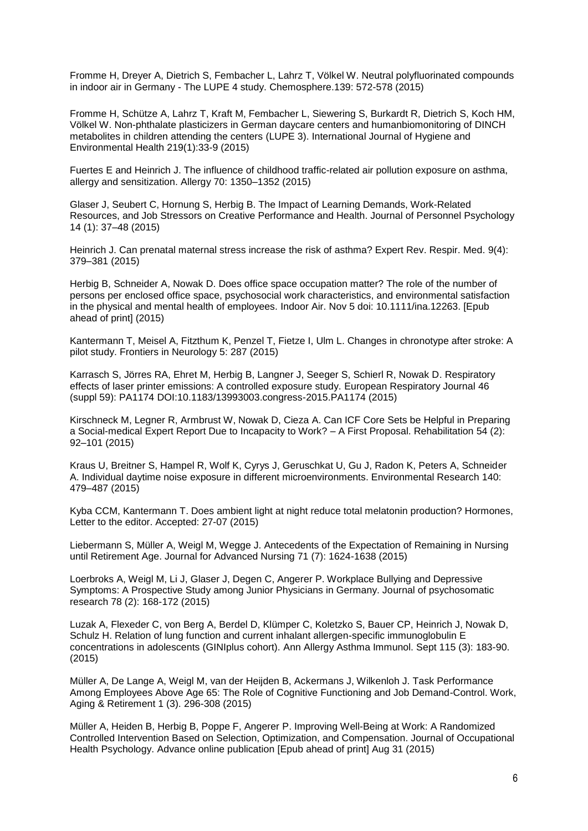Fromme H, Dreyer A, Dietrich S, Fembacher L, Lahrz T, Völkel W. Neutral polyfluorinated compounds in indoor air in Germany - The LUPE 4 study. Chemosphere.139: 572-578 (2015)

Fromme H, Schütze A, Lahrz T, Kraft M, Fembacher L, Siewering S, Burkardt R, Dietrich S, Koch HM, Völkel W. Non-phthalate plasticizers in German daycare centers and humanbiomonitoring of DINCH metabolites in children attending the centers (LUPE 3). International Journal of Hygiene and Environmental Health 219(1):33-9 (2015)

Fuertes E and Heinrich J. The influence of childhood traffic-related air pollution exposure on asthma, allergy and sensitization. Allergy 70: 1350–1352 (2015)

Glaser J, Seubert C, Hornung S, Herbig B. The Impact of Learning Demands, Work-Related Resources, and Job Stressors on Creative Performance and Health. Journal of Personnel Psychology 14 (1): 37–48 (2015)

Heinrich J. Can prenatal maternal stress increase the risk of asthma? Expert Rev. Respir. Med. 9(4): 379–381 (2015)

[Herbig B,](http://www.ncbi.nlm.nih.gov/pubmed/?term=Herbig%20B%5BAuthor%5D&cauthor=true&cauthor_uid=26537539) [Schneider A,](http://www.ncbi.nlm.nih.gov/pubmed/?term=Schneider%20A%5BAuthor%5D&cauthor=true&cauthor_uid=26537539) [Nowak D.](http://www.ncbi.nlm.nih.gov/pubmed/?term=Nowak%20D%5BAuthor%5D&cauthor=true&cauthor_uid=26537539) Does office space occupation matter? The role of the number of persons per enclosed office space, psychosocial work characteristics, and environmental satisfaction in the physical and mental health of employees. [Indoor Air.](http://www.ncbi.nlm.nih.gov/pubmed/26537539) Nov 5 doi: 10.1111/ina.12263. [Epub ahead of print] (2015)

Kantermann T, Meisel A, Fitzthum K, Penzel T, Fietze I, Ulm L. Changes in chronotype after stroke: A pilot study. Frontiers in Neurology 5: 287 (2015)

Karrasch S, Jörres RA, Ehret M, Herbig B, Langner J, Seeger S, Schierl R, Nowak D. Respiratory effects of laser printer emissions: A controlled exposure study. European Respiratory Journal 46 (suppl 59): PA1174 DOI:10.1183/13993003.congress-2015.PA1174 (2015)

Kirschneck M, Legner R, Armbrust W, Nowak D, Cieza A. Can ICF Core Sets be Helpful in Preparing a Social-medical Expert Report Due to Incapacity to Work? – A First Proposal. Rehabilitation 54 (2): 92–101 (2015)

Kraus U, Breitner S, Hampel R, Wolf K, Cyrys J, Geruschkat U, Gu J, Radon K, Peters A, Schneider A. Individual daytime noise exposure in different microenvironments. Environmental Research 140: 479–487 (2015)

Kyba CCM, Kantermann T. Does ambient light at night reduce total melatonin production? Hormones, Letter to the editor. Accepted: 27-07 (2015)

Liebermann S, Müller A, Weigl M, Wegge J. Antecedents of the Expectation of Remaining in Nursing until Retirement Age. Journal for Advanced Nursing 71 (7): 1624-1638 (2015)

Loerbroks A, Weigl M, Li J, Glaser J, Degen C, Angerer P. Workplace Bullying and Depressive Symptoms: A Prospective Study among Junior Physicians in Germany. Journal of psychosomatic research 78 (2): 168-172 (2015)

Luzak A, [Flexeder C,](http://www.ncbi.nlm.nih.gov/pubmed/?term=Flexeder%20C%5BAuthor%5D&cauthor=true&cauthor_uid=26195441) [von Berg A,](http://www.ncbi.nlm.nih.gov/pubmed/?term=von%20Berg%20A%5BAuthor%5D&cauthor=true&cauthor_uid=26195441) [Berdel D,](http://www.ncbi.nlm.nih.gov/pubmed/?term=Berdel%20D%5BAuthor%5D&cauthor=true&cauthor_uid=26195441) [Klümper C,](http://www.ncbi.nlm.nih.gov/pubmed/?term=Kl%C3%BCmper%20C%5BAuthor%5D&cauthor=true&cauthor_uid=26195441) [Koletzko S,](http://www.ncbi.nlm.nih.gov/pubmed/?term=Koletzko%20S%5BAuthor%5D&cauthor=true&cauthor_uid=26195441) [Bauer CP,](http://www.ncbi.nlm.nih.gov/pubmed/?term=Bauer%20CP%5BAuthor%5D&cauthor=true&cauthor_uid=26195441) [Heinrich J,](http://www.ncbi.nlm.nih.gov/pubmed/?term=Heinrich%20J%5BAuthor%5D&cauthor=true&cauthor_uid=26195441) [Nowak D,](http://www.ncbi.nlm.nih.gov/pubmed/?term=Nowak%20D%5BAuthor%5D&cauthor=true&cauthor_uid=26195441) [Schulz H.](http://www.ncbi.nlm.nih.gov/pubmed/?term=Schulz%20H%5BAuthor%5D&cauthor=true&cauthor_uid=26195441) Relation of lung function and current inhalant allergen-specific immunoglobulin E concentrations in adolescents (GINIplus cohort). [Ann Allergy Asthma Immunol.](http://www.ncbi.nlm.nih.gov/pubmed/26195441) Sept 115 (3): 183-90. (2015)

Müller A, De Lange A, Weigl M, van der Heijden B, Ackermans J, Wilkenloh J. Task Performance Among Employees Above Age 65: The Role of Cognitive Functioning and Job Demand-Control. Work, Aging & Retirement 1 (3). 296-308 (2015)

Müller A, Heiden B, Herbig B, Poppe F, Angerer P. Improving Well-Being at Work: A Randomized Controlled Intervention Based on Selection, Optimization, and Compensation. Journal of Occupational Health Psychology. Advance online publication [Epub ahead of print] Aug 31 (2015)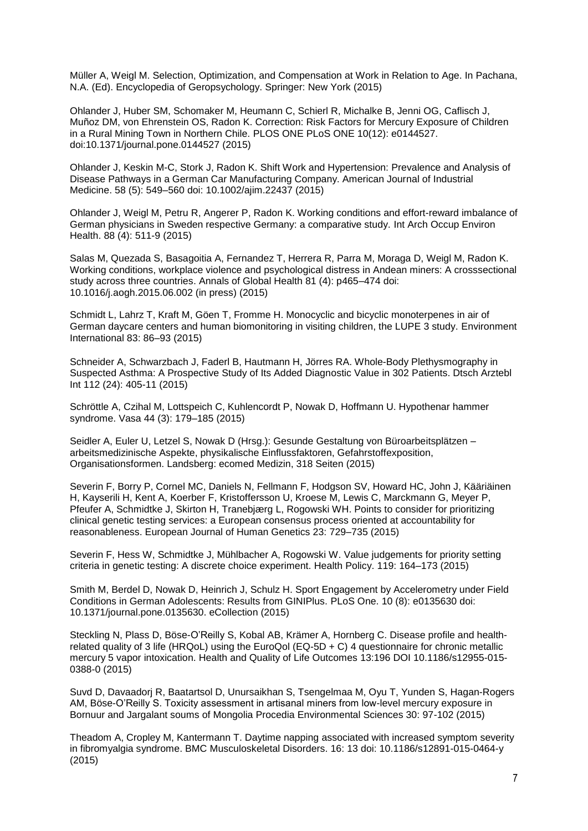Müller A, Weigl M. Selection, Optimization, and Compensation at Work in Relation to Age. In Pachana, N.A. (Ed). Encyclopedia of Geropsychology. Springer: New York (2015)

Ohlander J, Huber SM, Schomaker M, Heumann C, Schierl R, Michalke B, Jenni OG, Caflisch J, Muñoz DM, von Ehrenstein OS, Radon K. Correction: Risk Factors for Mercury Exposure of Children in a Rural Mining Town in Northern Chile. PLOS ONE PLoS ONE 10(12): e0144527. doi:10.1371/journal.pone.0144527 (2015)

Ohlander J, Keskin M-C, Stork J, Radon K. Shift Work and Hypertension: Prevalence and Analysis of Disease Pathways in a German Car Manufacturing Company. American Journal of Industrial Medicine. 58 (5): 549–560 doi: 10.1002/ajim.22437 (2015)

[Ohlander J,](http://www.ncbi.nlm.nih.gov/pubmed/?term=Ohlander%20J%5BAuthor%5D&cauthor=true&cauthor_uid=25228139) [Weigl M,](http://www.ncbi.nlm.nih.gov/pubmed/?term=Weigl%20M%5BAuthor%5D&cauthor=true&cauthor_uid=25228139) [Petru R,](http://www.ncbi.nlm.nih.gov/pubmed/?term=Petru%20R%5BAuthor%5D&cauthor=true&cauthor_uid=25228139) [Angerer P,](http://www.ncbi.nlm.nih.gov/pubmed/?term=Angerer%20P%5BAuthor%5D&cauthor=true&cauthor_uid=25228139) [Radon K.](http://www.ncbi.nlm.nih.gov/pubmed/?term=Radon%20K%5BAuthor%5D&cauthor=true&cauthor_uid=25228139) Working conditions and effort-reward imbalance of German physicians in Sweden respective Germany: a comparative study. [Int Arch Occup Environ](http://www.ncbi.nlm.nih.gov/pubmed/25228139)  [Health.](http://www.ncbi.nlm.nih.gov/pubmed/25228139) 88 (4): 511-9 (2015)

Salas M, Quezada S, Basagoitia A, Fernandez T, Herrera R, Parra M, Moraga D, Weigl M, Radon K. Working conditions, workplace violence and psychological distress in Andean miners: A crosssectional study across three countries. Annals of Global Health 81 (4): p465–474 doi: 10.1016/j.aogh.2015.06.002 (in press) (2015)

Schmidt L, Lahrz T, Kraft M, Göen T, Fromme H. Monocyclic and bicyclic monoterpenes in air of German daycare centers and human biomonitoring in visiting children, the LUPE 3 study. Environment International 83: 86–93 (2015)

[Schneider A,](http://www.aerzteblatt.de/int/archive/hits?archivAutor=Schneider%2C+A) [Schwarzbach J,](http://www.aerzteblatt.de/int/archive/hits?archivAutor=Schwarzbach%2C+J) [Faderl B,](http://www.aerzteblatt.de/int/archive/hits?archivAutor=Faderl%2C+B) [Hautmann H,](http://www.aerzteblatt.de/int/archive/hits?archivAutor=Hautmann%2C+H) [Jörres RA.](http://www.aerzteblatt.de/int/archive/hits?archivAutor=J%F6rres%2C+R+A) Whole-Body Plethysmography in Suspected Asthma: A Prospective Study of Its Added Diagnostic Value in 302 Patients. Dtsch Arztebl Int 112 (24): 405-11 (2015)

Schröttle A, Czihal M, Lottspeich C, Kuhlencordt P, Nowak D, Hoffmann U. Hypothenar hammer syndrome. Vasa 44 (3): 179–185 (2015)

Seidler A, Euler U, Letzel S, Nowak D (Hrsg.): Gesunde Gestaltung von Büroarbeitsplätzen – arbeitsmedizinische Aspekte, physikalische Einflussfaktoren, Gefahrstoffexposition, Organisationsformen. Landsberg: ecomed Medizin, 318 Seiten (2015)

Severin F, Borry P, Cornel MC, Daniels N, Fellmann F, Hodgson SV, Howard HC, John J, Kääriäinen H, Kayserili H, Kent A, Koerber F, Kristoffersson U, Kroese M, Lewis C, Marckmann G, Meyer P, Pfeufer A, Schmidtke J, Skirton H, Tranebjærg L, Rogowski WH. Points to consider for prioritizing clinical genetic testing services: a European consensus process oriented at accountability for reasonableness. European Journal of Human Genetics 23: 729–735 (2015)

Severin F, Hess W, Schmidtke J, Mühlbacher A, Rogowski W. Value judgements for priority setting criteria in genetic testing: A discrete choice experiment. [Health Policy.](http://www.ncbi.nlm.nih.gov/pubmed/24836022) 119: 164–173 (2015)

[Smith M,](http://www.ncbi.nlm.nih.gov/pubmed/?term=Smith%20M%5BAuthor%5D&cauthor=true&cauthor_uid=26291984) [Berdel D,](http://www.ncbi.nlm.nih.gov/pubmed/?term=Berdel%20D%5BAuthor%5D&cauthor=true&cauthor_uid=26291984) [Nowak D,](http://www.ncbi.nlm.nih.gov/pubmed/?term=Nowak%20D%5BAuthor%5D&cauthor=true&cauthor_uid=26291984) [Heinrich J,](http://www.ncbi.nlm.nih.gov/pubmed/?term=Heinrich%20J%5BAuthor%5D&cauthor=true&cauthor_uid=26291984) [Schulz H.](http://www.ncbi.nlm.nih.gov/pubmed/?term=Schulz%20H%5BAuthor%5D&cauthor=true&cauthor_uid=26291984) Sport Engagement by Accelerometry under Field Conditions in German Adolescents: Results from GINIPlus. [PLoS One.](http://www.ncbi.nlm.nih.gov/pubmed/26291984) 10 (8): e0135630 doi: 10.1371/journal.pone.0135630. eCollection (2015)

Steckling N, Plass D, Böse-O'Reilly S, Kobal AB, Krämer A, Hornberg C. Disease profile and healthrelated quality of 3 life (HRQoL) using the EuroQol (EQ-5D + C) 4 questionnaire for chronic metallic mercury 5 vapor intoxication. Health and Quality of Life Outcomes 13:196 DOI 10.1186/s12955-015- 0388-0 (2015)

Suvd D, Davaadorj R, Baatartsol D, Unursaikhan S, Tsengelmaa M, Oyu T, Yunden S, Hagan-Rogers AM, Böse-O'Reilly S. Toxicity assessment in artisanal miners from low-level mercury exposure in Bornuur and Jargalant soums of Mongolia Procedia Environmental Sciences 30: 97-102 (2015)

Theadom A, Cropley M, Kantermann T. Daytime napping associated with increased symptom severity in fibromyalgia syndrome. BMC Musculoskeletal Disorders. 16: 13 doi: 10.1186/s12891-015-0464-y (2015)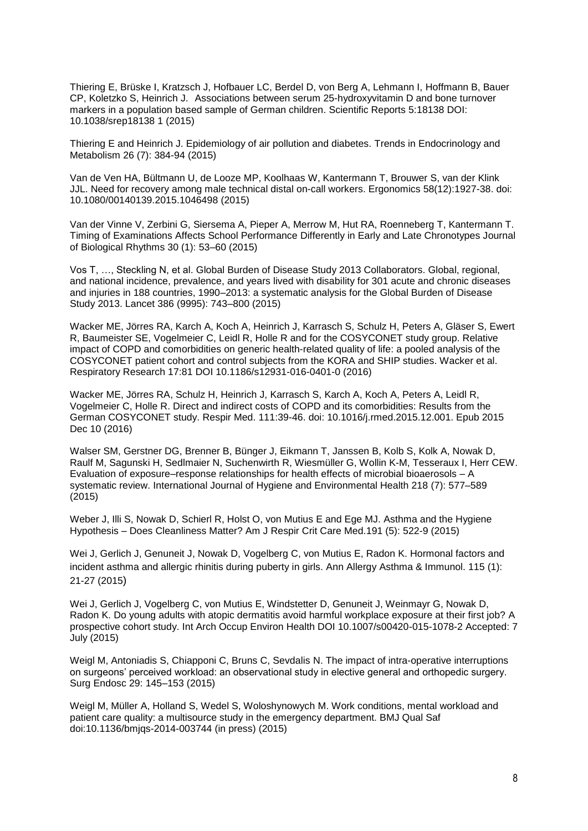Thiering E, Brüske I, Kratzsch J, Hofbauer LC, Berdel D, von Berg A, Lehmann I, Hoffmann B, Bauer CP, Koletzko S, Heinrich J. Associations between serum 25-hydroxyvitamin D and bone turnover markers in a population based sample of German children. Scientific Reports 5:18138 DOI: 10.1038/srep18138 1 (2015)

Thiering E and Heinrich J. Epidemiology of air pollution and diabetes. Trends in Endocrinology and Metabolism 26 (7): 384-94 (2015)

Van de Ven HA, Bültmann U, de Looze MP, Koolhaas W, Kantermann T, Brouwer S, van der Klink JJL. Need for recovery among male technical distal on-call workers. Ergonomics 58(12):1927-38. doi: 10.1080/00140139.2015.1046498 (2015)

Van der Vinne V, Zerbini G, Siersema A, Pieper A, Merrow M, Hut RA, Roenneberg T, Kantermann T. Timing of Examinations Affects School Performance Differently in Early and Late Chronotypes Journal of Biological Rhythms 30 (1): 53–60 (2015)

Vos T, …, Steckling N, et al. Global Burden of Disease Study 2013 Collaborators. Global, regional, and national incidence, prevalence, and years lived with disability for 301 acute and chronic diseases and injuries in 188 countries, 1990–2013: a systematic analysis for the Global Burden of Disease Study 2013. Lancet 386 (9995): 743–800 (2015)

Wacker ME, Jörres RA, Karch A, Koch A, Heinrich J, Karrasch S, Schulz H, Peters A, Gläser S, Ewert R, Baumeister SE, Vogelmeier C, Leidl R, Holle R and for the COSYCONET study group. Relative impact of COPD and comorbidities on generic health-related quality of life: a pooled analysis of the COSYCONET patient cohort and control subjects from the KORA and SHIP studies. Wacker et al. Respiratory Research 17:81 DOI 10.1186/s12931-016-0401-0 (2016)

[Wacker ME,](http://www.ncbi.nlm.nih.gov/pubmed/?term=Wacker%20ME%5BAuthor%5D&cauthor=true&cauthor_uid=26725462) [Jörres RA,](http://www.ncbi.nlm.nih.gov/pubmed/?term=J%C3%B6rres%20RA%5BAuthor%5D&cauthor=true&cauthor_uid=26725462) [Schulz H,](http://www.ncbi.nlm.nih.gov/pubmed/?term=Schulz%20H%5BAuthor%5D&cauthor=true&cauthor_uid=26725462) [Heinrich J,](http://www.ncbi.nlm.nih.gov/pubmed/?term=Heinrich%20J%5BAuthor%5D&cauthor=true&cauthor_uid=26725462) [Karrasch S,](http://www.ncbi.nlm.nih.gov/pubmed/?term=Karrasch%20S%5BAuthor%5D&cauthor=true&cauthor_uid=26725462) [Karch A,](http://www.ncbi.nlm.nih.gov/pubmed/?term=Karch%20A%5BAuthor%5D&cauthor=true&cauthor_uid=26725462) [Koch A,](http://www.ncbi.nlm.nih.gov/pubmed/?term=Koch%20A%5BAuthor%5D&cauthor=true&cauthor_uid=26725462) [Peters A,](http://www.ncbi.nlm.nih.gov/pubmed/?term=Peters%20A%5BAuthor%5D&cauthor=true&cauthor_uid=26725462) [Leidl R,](http://www.ncbi.nlm.nih.gov/pubmed/?term=Leidl%20R%5BAuthor%5D&cauthor=true&cauthor_uid=26725462) [Vogelmeier C,](http://www.ncbi.nlm.nih.gov/pubmed/?term=Vogelmeier%20C%5BAuthor%5D&cauthor=true&cauthor_uid=26725462) [Holle R.](http://www.ncbi.nlm.nih.gov/pubmed/?term=Holle%20R%5BAuthor%5D&cauthor=true&cauthor_uid=26725462) Direct and indirect costs of COPD and its comorbidities: Results from the German COSYCONET study. [Respir Med.](http://www.ncbi.nlm.nih.gov/pubmed/26725462) 111:39-46. doi: 10.1016/j.rmed.2015.12.001. Epub 2015 Dec 10 (2016)

Walser SM, Gerstner DG, Brenner B, Bünger J, Eikmann T, Janssen B, Kolb S, Kolk A, Nowak D, Raulf M, Sagunski H, Sedlmaier N, Suchenwirth R, Wiesmüller G, Wollin K-M, Tesseraux I, Herr CEW. Evaluation of exposure–response relationships for health effects of microbial bioaerosols – A systematic review. International Journal of Hygiene and Environmental Health 218 (7): 577–589 (2015)

Weber J, Illi S, Nowak D, Schierl R, Holst O, von Mutius E and Ege MJ. Asthma and the Hygiene Hypothesis – Does Cleanliness Matter? [Am J Respir Crit Care Med.1](http://www.ncbi.nlm.nih.gov/pubmed/25584716)91 (5): 522-9 (2015)

[Wei J,](http://www-ncbi-nlm-nih-gov.emedien.ub.uni-muenchen.de/pubmed/?term=Wei%20J%5BAuthor%5D&cauthor=true&cauthor_uid=26003905) [Gerlich J,](http://www-ncbi-nlm-nih-gov.emedien.ub.uni-muenchen.de/pubmed/?term=Gerlich%20J%5BAuthor%5D&cauthor=true&cauthor_uid=26003905) [Genuneit J,](http://www-ncbi-nlm-nih-gov.emedien.ub.uni-muenchen.de/pubmed/?term=Genuneit%20J%5BAuthor%5D&cauthor=true&cauthor_uid=26003905) [Nowak D,](http://www-ncbi-nlm-nih-gov.emedien.ub.uni-muenchen.de/pubmed/?term=Nowak%20D%5BAuthor%5D&cauthor=true&cauthor_uid=26003905) [Vogelberg C,](http://www-ncbi-nlm-nih-gov.emedien.ub.uni-muenchen.de/pubmed/?term=Vogelberg%20C%5BAuthor%5D&cauthor=true&cauthor_uid=26003905) [von Mutius E,](http://www-ncbi-nlm-nih-gov.emedien.ub.uni-muenchen.de/pubmed/?term=von%20Mutius%20E%5BAuthor%5D&cauthor=true&cauthor_uid=26003905) [Radon K.](http://www-ncbi-nlm-nih-gov.emedien.ub.uni-muenchen.de/pubmed/?term=Radon%20K%5BAuthor%5D&cauthor=true&cauthor_uid=26003905) Hormonal factors and incident asthma and allergic rhinitis during puberty in girls. [Ann Allergy Asthma & Immunol.](http://www-ncbi-nlm-nih-gov.emedien.ub.uni-muenchen.de/pubmed/26003905) 115 (1): 21-27 (2015)

Wei J, Gerlich J, Vogelberg C, von Mutius E, Windstetter D, Genuneit J, Weinmayr G, Nowak D, Radon K. Do young adults with atopic dermatitis avoid harmful workplace exposure at their first job? A prospective cohort study. Int Arch Occup Environ Health DOI 10.1007/s00420-015-1078-2 Accepted: 7 July (2015)

Weigl M, Antoniadis S, Chiapponi C, Bruns C, Sevdalis N. The impact of intra-operative interruptions on surgeons' perceived workload: an observational study in elective general and orthopedic surgery. Surg Endosc 29: 145–153 (2015)

Weigl M, Müller A, Holland S, Wedel S, Woloshynowych M. Work conditions, mental workload and patient care quality: a multisource study in the emergency department. BMJ Qual Saf doi:10.1136/bmjqs-2014-003744 (in press) (2015)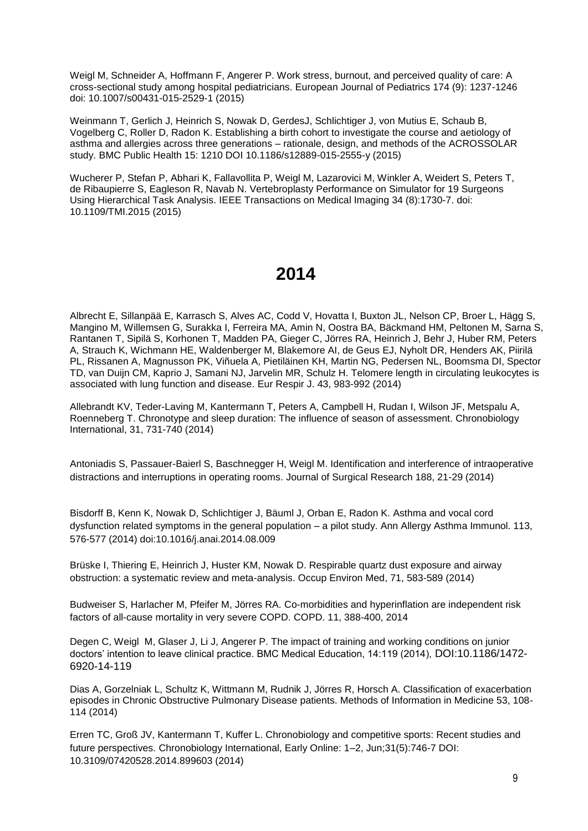Weigl M, Schneider A, Hoffmann F, Angerer P. Work stress, burnout, and perceived quality of care: A cross-sectional study among hospital pediatricians. European Journal of Pediatrics 174 (9): 1237-1246 doi: 10.1007/s00431-015-2529-1 (2015)

Weinmann T, Gerlich J, Heinrich S, Nowak D, GerdesJ, Schlichtiger J, von Mutius E, Schaub B, Vogelberg C, Roller D, Radon K. Establishing a birth cohort to investigate the course and aetiology of asthma and allergies across three generations – rationale, design, and methods of the ACROSSOLAR study. BMC Public Health 15: 1210 DOI 10.1186/s12889-015-2555-y (2015)

Wucherer P, Stefan P, Abhari K, Fallavollita P, Weigl M, Lazarovici M, Winkler A, Weidert S, Peters T, de Ribaupierre S, Eagleson R, Navab N. Vertebroplasty Performance on Simulator for 19 Surgeons Using Hierarchical Task Analysis. IEEE Transactions on Medical Imaging 34 (8):1730-7. doi: 10.1109/TMI.2015 (2015)

## **2014**

Albrecht E, Sillanpää E, Karrasch S, Alves AC, Codd V, Hovatta I, Buxton JL, Nelson CP, Broer L, Hägg S, Mangino M, Willemsen G, Surakka I, Ferreira MA, Amin N, Oostra BA, Bäckmand HM, Peltonen M, Sarna S, Rantanen T, Sipilä S, Korhonen T, Madden PA, Gieger C, Jörres RA, Heinrich J, Behr J, Huber RM, Peters A, Strauch K, Wichmann HE, Waldenberger M, Blakemore AI, de Geus EJ, Nyholt DR, Henders AK, Piirilä PL, Rissanen A, Magnusson PK, Viñuela A, Pietiläinen KH, Martin NG, Pedersen NL, Boomsma DI, Spector TD, van Duijn CM, Kaprio J, Samani NJ, Jarvelin MR, Schulz H. Telomere length in circulating leukocytes is associated with lung function and disease. Eur Respir J. 43, 983-992 (2014)

Allebrandt KV, Teder-Laving M, Kantermann T, Peters A, Campbell H, Rudan I, Wilson JF, Metspalu A, Roenneberg T. Chronotype and sleep duration: The influence of season of assessment. Chronobiology International, 31, 731-740 (2014)

Antoniadis S, Passauer-Baierl S, Baschnegger H, Weigl M. Identification and interference of intraoperative distractions and interruptions in operating rooms. Journal of Surgical Research 188, 21-29 (2014)

Bisdorff B, Kenn K, Nowak D, Schlichtiger J, Bäuml J, Orban E, Radon K. Asthma and vocal cord dysfunction related symptoms in the general population – a pilot study. Ann Allergy Asthma Immunol. 113, 576-577 (2014) doi:10.1016/j.anai.2014.08.009

Brüske I, Thiering E, Heinrich J, Huster KM, Nowak D. Respirable quartz dust exposure and airway obstruction: a systematic review and meta-analysis. Occup Environ Med, 71, 583-589 (2014)

Budweiser S, Harlacher M, Pfeifer M, Jörres RA. Co-morbidities and hyperinflation are independent risk factors of all-cause mortality in very severe COPD. COPD. 11, 388-400, 2014

Degen C, Weigl M, Glaser J, Li J, Angerer P. The impact of training and working conditions on junior doctors' intention to leave clinical practice. BMC Medical Education, 14:119 (2014), DOI:10.1186/1472- 6920-14-119

Dias A, Gorzelniak L, Schultz K, Wittmann M, Rudnik J, Jörres R, Horsch A. Classification of exacerbation episodes in Chronic Obstructive Pulmonary Disease patients. Methods of Information in Medicine 53, 108- 114 (2014)

Erren TC, Groß JV, Kantermann T, Kuffer L. Chronobiology and competitive sports: Recent studies and future perspectives. Chronobiology International, Early Online: 1–2, Jun;31(5):746-7 DOI: 10.3109/07420528.2014.899603 (2014)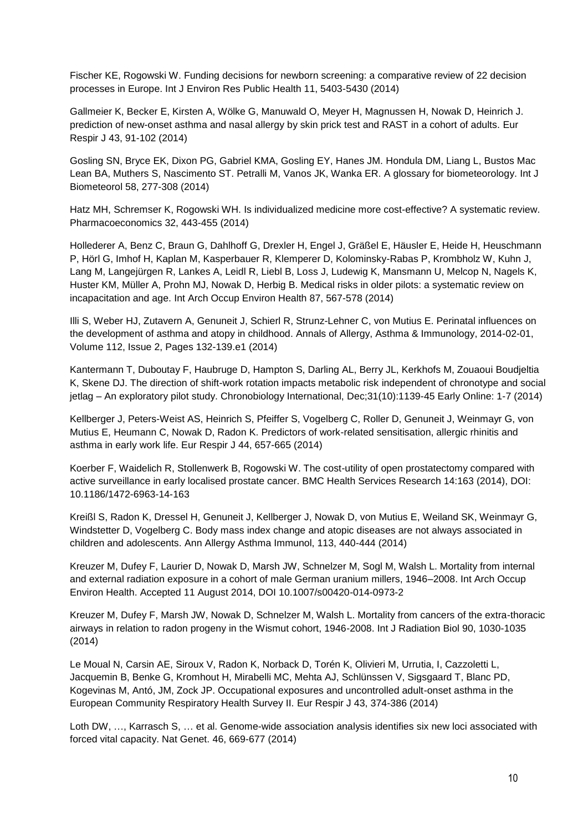Fischer KE, Rogowski W. Funding decisions for newborn screening: a comparative review of 22 decision processes in Europe. Int J Environ Res Public Health 11, 5403-5430 (2014)

Gallmeier K, Becker E, Kirsten A, Wölke G, Manuwald O, Meyer H, Magnussen H, Nowak D, Heinrich J. prediction of new-onset asthma and nasal allergy by skin prick test and RAST in a cohort of adults. Eur Respir J 43, 91-102 (2014)

Gosling SN, Bryce EK, Dixon PG, Gabriel KMA, Gosling EY, Hanes JM. Hondula DM, Liang L, Bustos Mac Lean BA, Muthers S, Nascimento ST. Petralli M, Vanos JK, Wanka ER. A glossary for biometeorology. Int J Biometeorol 58, 277-308 (2014)

Hatz MH, Schremser K, Rogowski WH. Is individualized medicine more cost-effective? A systematic review. Pharmacoeconomics 32, 443-455 (2014)

Hollederer A, Benz C, Braun G, Dahlhoff G, Drexler H, Engel J, Gräßel E, Häusler E, Heide H, Heuschmann P, Hörl G, Imhof H, Kaplan M, Kasperbauer R, Klemperer D, Kolominsky-Rabas P, Krombholz W, Kuhn J, Lang M, Langejürgen R, Lankes A, Leidl R, Liebl B, Loss J, Ludewig K, Mansmann U, Melcop N, Nagels K, Huster KM, Müller A, Prohn MJ, Nowak D, Herbig B. Medical risks in older pilots: a systematic review on incapacitation and age. Int Arch Occup Environ Health 87, 567-578 (2014)

[Illi S, W](https://www.clinicalkey.com/#!/search/Illi%20Sabina/%7B%22type%22:%22author%22%7D)eber HJ, [Zutavern A,](https://www.clinicalkey.com/#!/search/Zutavern%20Anne/%7B%22type%22:%22author%22%7D) [Genuneit J,](https://www.clinicalkey.com/#!/search/Genuneit%20Jon/%7B%22type%22:%22author%22%7D) [Schierl R,](https://www.clinicalkey.com/#!/search/Schierl%20Rudolf/%7B%22type%22:%22author%22%7D) [Strunz-Lehner C,](https://www.clinicalkey.com/#!/search/Strunz-Lehner%20Christine/%7B%22type%22:%22author%22%7D) [von Mutius E.](https://www.clinicalkey.com/#!/search/von Mutius%20Erika/%7B%22type%22:%22author%22%7D) Perinatal influences on the development of asthma and atopy in childhood. Annals of Allergy, Asthma & Immunology, 2014-02-01, Volume 112, Issue 2, Pages 132-139.e1 (2014)

Kantermann T, Duboutay F, Haubruge D, Hampton S, Darling AL, Berry JL, Kerkhofs M, Zouaoui Boudjeltia K, Skene DJ. The direction of shift-work rotation impacts metabolic risk independent of chronotype and social jetlag – An exploratory pilot study. Chronobiology International, Dec;31(10):1139-45 Early Online: 1-7 (2014)

Kellberger J, Peters-Weist AS, Heinrich S, Pfeiffer S, Vogelberg C, Roller D, Genuneit J, Weinmayr G, von Mutius E, Heumann C, Nowak D, Radon K. Predictors of work-related sensitisation, allergic rhinitis and asthma in early work life. Eur Respir J 44, 657-665 (2014)

Koerber F, Waidelich R, Stollenwerk B, Rogowski W. The cost-utility of open prostatectomy compared with active surveillance in early localised prostate cancer. BMC Health Services Research 14:163 (2014), DOI: 10.1186/1472-6963-14-163

Kreißl S, Radon K, Dressel H, Genuneit J, Kellberger J, Nowak D, von Mutius E, Weiland SK, Weinmayr G, Windstetter D, Vogelberg C. Body mass index change and atopic diseases are not always associated in children and adolescents. Ann Allergy Asthma Immunol, 113, 440-444 (2014)

Kreuzer M, Dufey F, Laurier D, Nowak D, Marsh JW, Schnelzer M, Sogl M, Walsh L. Mortality from internal and external radiation exposure in a cohort of male German uranium millers, 1946–2008. Int Arch Occup Environ Health. Accepted 11 August 2014, DOI 10.1007/s00420-014-0973-2

Kreuzer M, Dufey F, Marsh JW, Nowak D, Schnelzer M, Walsh L. Mortality from cancers of the extra-thoracic airways in relation to radon progeny in the Wismut cohort, 1946-2008. Int J Radiation Biol 90, 1030-1035 (2014)

Le Moual N, Carsin AE, Siroux V, Radon K, Norback D, Torén K, Olivieri M, Urrutia, I, Cazzoletti L, Jacquemin B, Benke G, Kromhout H, Mirabelli MC, Mehta AJ, Schlünssen V, Sigsgaard T, Blanc PD, Kogevinas M, Antó, JM, Zock JP. Occupational exposures and uncontrolled adult-onset asthma in the European Community Respiratory Health Survey II. Eur Respir J 43, 374-386 (2014)

Loth DW, ..., Karrasch S, ... et al. Genome-wide association analysis identifies six new loci associated with forced vital capacity. Nat Genet. 46, 669-677 (2014)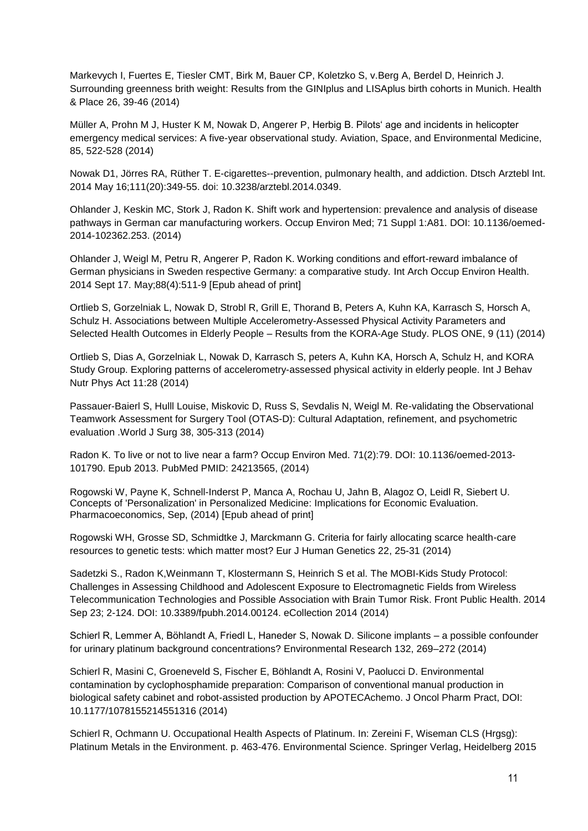Markevych I, Fuertes E, Tiesler CMT, Birk M, Bauer CP, Koletzko S, v.Berg A, Berdel D, Heinrich J. Surrounding greenness brith weight: Results from the GINIplus and LISAplus birth cohorts in Munich. Health & Place 26, 39-46 (2014)

Müller A, Prohn M J, Huster K M, Nowak D, Angerer P, Herbig B. Pilots' age and incidents in helicopter emergency medical services: A five-year observational study. Aviation, Space, and Environmental Medicine, 85, 522-528 (2014)

[Nowak D1](http://www.ncbi.nlm.nih.gov/pubmed/?term=Nowak%20D%5BAuthor%5D&cauthor=true&cauthor_uid=24882626), [Jörres RA,](http://www.ncbi.nlm.nih.gov/pubmed/?term=J%C3%B6rres%20RA%5BAuthor%5D&cauthor=true&cauthor_uid=24882626) [Rüther T.](http://www.ncbi.nlm.nih.gov/pubmed/?term=R%C3%BCther%20T%5BAuthor%5D&cauthor=true&cauthor_uid=24882626) E-cigarettes--prevention, pulmonary health, and addiction. [Dtsch Arztebl Int.](http://www.ncbi.nlm.nih.gov/pubmed/24882626) 2014 May 16;111(20):349-55. doi: 10.3238/arztebl.2014.0349.

Ohlander J, Keskin MC, Stork J, Radon K. Shift work and hypertension: prevalence and analysis of disease pathways in German car manufacturing workers. Occup Environ Med; 71 Suppl 1:A81. DOI: 10.1136/oemed-2014-102362.253. (2014)

Ohlander J, Weigl M, Petru R, Angerer P, Radon K. Working conditions and effort-reward imbalance of German physicians in Sweden respective Germany: a comparative study. Int Arch Occup Environ Health. 2014 Sept 17. May;88(4):511-9 [Epub ahead of print]

Ortlieb S, Gorzelniak L, Nowak D, Strobl R, Grill E, Thorand B, Peters A, Kuhn KA, Karrasch S, Horsch A, Schulz H. Associations between Multiple Accelerometry-Assessed Physical Activity Parameters and Selected Health Outcomes in Elderly People – Results from the KORA-Age Study. PLOS ONE, 9 (11) (2014)

Ortlieb S, Dias A, Gorzelniak L, Nowak D, Karrasch S, peters A, Kuhn KA, Horsch A, Schulz H, and KORA Study Group. Exploring patterns of accelerometry-assessed physical activity in elderly people. Int J Behav Nutr Phys Act 11:28 (2014)

Passauer-Baierl S, Hulll Louise, Miskovic D, Russ S, Sevdalis N, Weigl M. Re-validating the Observational Teamwork Assessment for Surgery Tool (OTAS-D): Cultural Adaptation, refinement, and psychometric evaluation .World J Surg 38, 305-313 (2014)

Radon K. To live or not to live near a farm? Occup Environ Med. 71(2):79. DOI: 10.1136/oemed-2013- 101790. Epub 2013. PubMed PMID: 24213565, (2014)

[Rogowski W,](http://www.ncbi.nlm.nih.gov/pubmed?term=Rogowski%20W%5BAuthor%5D&cauthor=true&cauthor_uid=25249200) [Payne K,](http://www.ncbi.nlm.nih.gov/pubmed?term=Payne%20K%5BAuthor%5D&cauthor=true&cauthor_uid=25249200) [Schnell-Inderst P,](http://www.ncbi.nlm.nih.gov/pubmed?term=Schnell-Inderst%20P%5BAuthor%5D&cauthor=true&cauthor_uid=25249200) [Manca](http://www.ncbi.nlm.nih.gov/pubmed?term=Manca%20A%5BAuthor%5D&cauthor=true&cauthor_uid=25249200) A, [Rochau U,](http://www.ncbi.nlm.nih.gov/pubmed?term=Rochau%20U%5BAuthor%5D&cauthor=true&cauthor_uid=25249200) [Jahn B,](http://www.ncbi.nlm.nih.gov/pubmed?term=Jahn%20B%5BAuthor%5D&cauthor=true&cauthor_uid=25249200) [Alagoz O,](http://www.ncbi.nlm.nih.gov/pubmed?term=Alagoz%20O%5BAuthor%5D&cauthor=true&cauthor_uid=25249200) [Leidl R,](http://www.ncbi.nlm.nih.gov/pubmed?term=Leidl%20R%5BAuthor%5D&cauthor=true&cauthor_uid=25249200) [Siebert U.](http://www.ncbi.nlm.nih.gov/pubmed?term=Siebert%20U%5BAuthor%5D&cauthor=true&cauthor_uid=25249200) Concepts of 'Personalization' in Personalized Medicine: Implications for Economic Evaluation. [Pharmacoeconomics,](http://www.ncbi.nlm.nih.gov/pubmed/25249200) Sep, (2014) [Epub ahead of print]

Rogowski WH, Grosse SD, Schmidtke J, Marckmann G. Criteria for fairly allocating scarce health-care resources to genetic tests: which matter most? Eur J Human Genetics 22, 25-31 (2014)

Sadetzki S., Radon K,Weinmann T, Klostermann S, Heinrich S et al. The MOBI-Kids Study Protocol: Challenges in Assessing Childhood and Adolescent Exposure to Electromagnetic Fields from Wireless Telecommunication Technologies and Possible Association with Brain Tumor Risk. Front Public Health. 2014 Sep 23; 2-124. DOI: 10.3389/fpubh.2014.00124. eCollection 2014 (2014)

Schierl R, Lemmer A, Böhlandt A, Friedl L, Haneder S, Nowak D. Silicone implants – a possible confounder for urinary platinum background concentrations? Environmental Research 132, 269–272 (2014)

Schierl R, Masini C, Groeneveld S, Fischer E, Böhlandt A, Rosini V, Paolucci D. Environmental contamination by cyclophosphamide preparation: Comparison of conventional manual production in biological safety cabinet and robot-assisted production by APOTECAchemo. J Oncol Pharm Pract, DOI: 10.1177/1078155214551316 (2014)

Schierl R, Ochmann U. Occupational Health Aspects of Platinum. In: Zereini F, Wiseman CLS (Hrgsg): Platinum Metals in the Environment. p. 463-476. Environmental Science. Springer Verlag, Heidelberg 2015